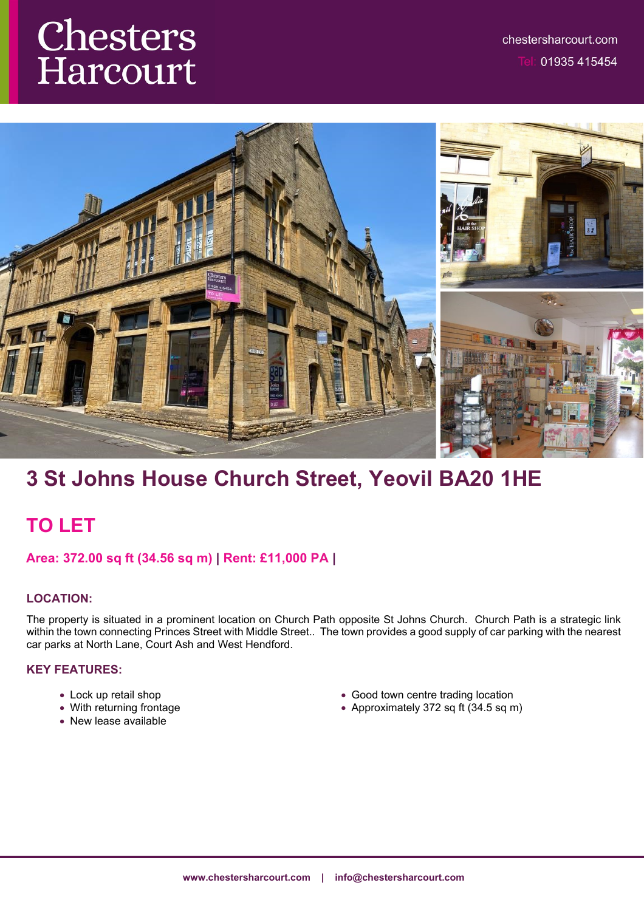# Chesters Harcourt



# **3 St Johns House Church Street, Yeovil BA20 1HE**

## **TO LET**

## **Area: 372.00 sq ft (34.56 sq m) | Rent: £11,000 PA |**

## **LOCATION:**

The property is situated in a prominent location on Church Path opposite St Johns Church. Church Path is a strategic link within the town connecting Princes Street with Middle Street.. The town provides a good supply of car parking with the nearest car parks at North Lane, Court Ash and West Hendford.

## **KEY FEATURES:**

- Lock up retail shop
- With returning frontage
- New lease available
- Good town centre trading location
- Approximately 372 sq ft  $(34.5 \text{ sq m})$